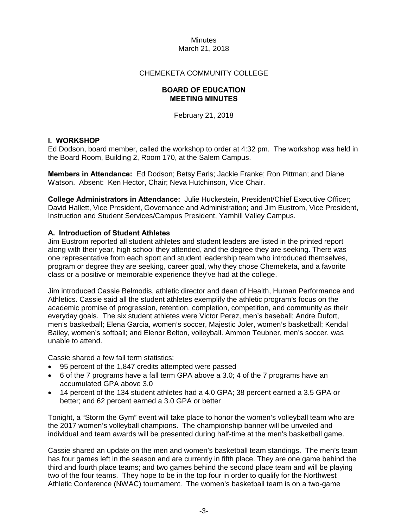# CHEMEKETA COMMUNITY COLLEGE

# **BOARD OF EDUCATION MEETING MINUTES**

February 21, 2018

# **I. WORKSHOP**

Ed Dodson, board member, called the workshop to order at 4:32 pm. The workshop was held in the Board Room, Building 2, Room 170, at the Salem Campus.

**Members in Attendance:** Ed Dodson; Betsy Earls; Jackie Franke; Ron Pittman; and Diane Watson. Absent: Ken Hector, Chair; Neva Hutchinson, Vice Chair.

**College Administrators in Attendance:** Julie Huckestein, President/Chief Executive Officer; David Hallett, Vice President, Governance and Administration; and Jim Eustrom, Vice President, Instruction and Student Services/Campus President, Yamhill Valley Campus.

# **A. Introduction of Student Athletes**

Jim Eustrom reported all student athletes and student leaders are listed in the printed report along with their year, high school they attended, and the degree they are seeking. There was one representative from each sport and student leadership team who introduced themselves, program or degree they are seeking, career goal, why they chose Chemeketa, and a favorite class or a positive or memorable experience they've had at the college.

Jim introduced Cassie Belmodis, athletic director and dean of Health, Human Performance and Athletics. Cassie said all the student athletes exemplify the athletic program's focus on the academic promise of progression, retention, completion, competition, and community as their everyday goals. The six student athletes were Victor Perez, men's baseball; Andre Dufort, men's basketball; Elena Garcia, women's soccer, Majestic Joler, women's basketball; Kendal Bailey, women's softball; and Elenor Belton, volleyball. Ammon Teubner, men's soccer, was unable to attend.

Cassie shared a few fall term statistics:

- 95 percent of the 1,847 credits attempted were passed
- 6 of the 7 programs have a fall term GPA above a 3.0; 4 of the 7 programs have an accumulated GPA above 3.0
- 14 percent of the 134 student athletes had a 4.0 GPA; 38 percent earned a 3.5 GPA or better; and 62 percent earned a 3.0 GPA or better

Tonight, a "Storm the Gym" event will take place to honor the women's volleyball team who are the 2017 women's volleyball champions. The championship banner will be unveiled and individual and team awards will be presented during half-time at the men's basketball game.

Cassie shared an update on the men and women's basketball team standings. The men's team has four games left in the season and are currently in fifth place. They are one game behind the third and fourth place teams; and two games behind the second place team and will be playing two of the four teams. They hope to be in the top four in order to qualify for the Northwest Athletic Conference (NWAC) tournament. The women's basketball team is on a two-game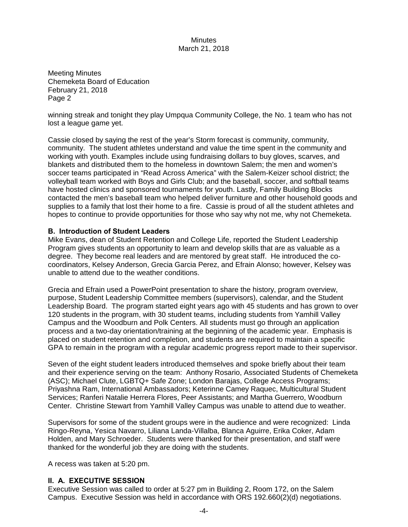Meeting Minutes Chemeketa Board of Education February 21, 2018 Page 2

winning streak and tonight they play Umpqua Community College, the No. 1 team who has not lost a league game yet.

Cassie closed by saying the rest of the year's Storm forecast is community, community, community. The student athletes understand and value the time spent in the community and working with youth. Examples include using fundraising dollars to buy gloves, scarves, and blankets and distributed them to the homeless in downtown Salem; the men and women's soccer teams participated in "Read Across America" with the Salem-Keizer school district; the volleyball team worked with Boys and Girls Club; and the baseball, soccer, and softball teams have hosted clinics and sponsored tournaments for youth. Lastly, Family Building Blocks contacted the men's baseball team who helped deliver furniture and other household goods and supplies to a family that lost their home to a fire. Cassie is proud of all the student athletes and hopes to continue to provide opportunities for those who say why not me, why not Chemeketa.

#### **B. Introduction of Student Leaders**

Mike Evans, dean of Student Retention and College Life, reported the Student Leadership Program gives students an opportunity to learn and develop skills that are as valuable as a degree. They become real leaders and are mentored by great staff. He introduced the cocoordinators, Kelsey Anderson, Grecia Garcia Perez, and Efrain Alonso; however, Kelsey was unable to attend due to the weather conditions.

Grecia and Efrain used a PowerPoint presentation to share the history, program overview, purpose, Student Leadership Committee members (supervisors), calendar, and the Student Leadership Board. The program started eight years ago with 45 students and has grown to over 120 students in the program, with 30 student teams, including students from Yamhill Valley Campus and the Woodburn and Polk Centers. All students must go through an application process and a two-day orientation/training at the beginning of the academic year. Emphasis is placed on student retention and completion, and students are required to maintain a specific GPA to remain in the program with a regular academic progress report made to their supervisor.

Seven of the eight student leaders introduced themselves and spoke briefly about their team and their experience serving on the team: Anthony Rosario, Associated Students of Chemeketa (ASC); Michael Clute, LGBTQ+ Safe Zone; London Barajas, College Access Programs; Priyashna Ram, International Ambassadors; Keterinne Camey Raquec, Multicultural Student Services; Ranferi Natalie Herrera Flores, Peer Assistants; and Martha Guerrero, Woodburn Center. Christine Stewart from Yamhill Valley Campus was unable to attend due to weather.

Supervisors for some of the student groups were in the audience and were recognized: Linda Ringo-Reyna, Yesica Navarro, Liliana Landa-Villalba, Blanca Aguirre, Erika Coker, Adam Holden, and Mary Schroeder. Students were thanked for their presentation, and staff were thanked for the wonderful job they are doing with the students.

A recess was taken at 5:20 pm.

## **II. A. EXECUTIVE SESSION**

Executive Session was called to order at 5:27 pm in Building 2, Room 172, on the Salem Campus. Executive Session was held in accordance with ORS 192.660(2)(d) negotiations.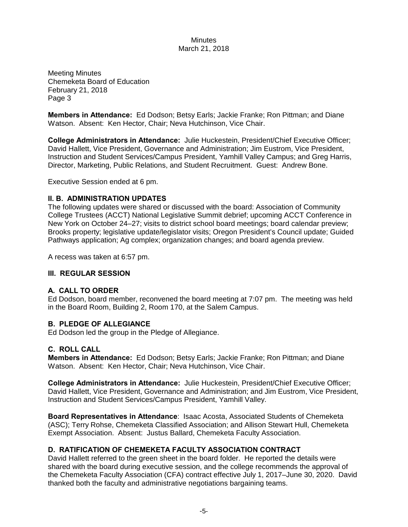Meeting Minutes Chemeketa Board of Education February 21, 2018 Page 3

**Members in Attendance:** Ed Dodson; Betsy Earls; Jackie Franke; Ron Pittman; and Diane Watson. Absent: Ken Hector, Chair; Neva Hutchinson, Vice Chair.

**College Administrators in Attendance:** Julie Huckestein, President/Chief Executive Officer; David Hallett, Vice President, Governance and Administration; Jim Eustrom, Vice President, Instruction and Student Services/Campus President, Yamhill Valley Campus; and Greg Harris, Director, Marketing, Public Relations, and Student Recruitment. Guest: Andrew Bone.

Executive Session ended at 6 pm.

## **II. B. ADMINISTRATION UPDATES**

The following updates were shared or discussed with the board: Association of Community College Trustees (ACCT) National Legislative Summit debrief; upcoming ACCT Conference in New York on October 24–27; visits to district school board meetings; board calendar preview; Brooks property; legislative update/legislator visits; Oregon President's Council update; Guided Pathways application; Ag complex; organization changes; and board agenda preview.

A recess was taken at 6:57 pm.

## **III. REGULAR SESSION**

## **A. CALL TO ORDER**

Ed Dodson, board member, reconvened the board meeting at 7:07 pm. The meeting was held in the Board Room, Building 2, Room 170, at the Salem Campus.

## **B. PLEDGE OF ALLEGIANCE**

Ed Dodson led the group in the Pledge of Allegiance.

## **C. ROLL CALL**

**Members in Attendance:** Ed Dodson; Betsy Earls; Jackie Franke; Ron Pittman; and Diane Watson. Absent: Ken Hector, Chair; Neva Hutchinson, Vice Chair.

**College Administrators in Attendance:** Julie Huckestein, President/Chief Executive Officer; David Hallett, Vice President, Governance and Administration; and Jim Eustrom, Vice President, Instruction and Student Services/Campus President, Yamhill Valley.

**Board Representatives in Attendance**: Isaac Acosta, Associated Students of Chemeketa (ASC); Terry Rohse, Chemeketa Classified Association; and Allison Stewart Hull, Chemeketa Exempt Association. Absent: Justus Ballard, Chemeketa Faculty Association.

# **D. RATIFICATION OF CHEMEKETA FACULTY ASSOCIATION CONTRACT**

David Hallett referred to the green sheet in the board folder. He reported the details were shared with the board during executive session, and the college recommends the approval of the Chemeketa Faculty Association (CFA) contract effective July 1, 2017–June 30, 2020. David thanked both the faculty and administrative negotiations bargaining teams.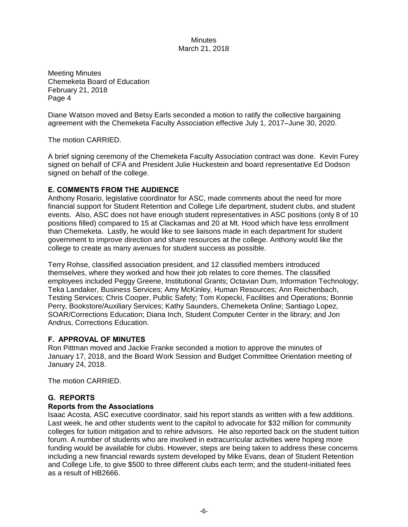Meeting Minutes Chemeketa Board of Education February 21, 2018 Page 4

Diane Watson moved and Betsy Earls seconded a motion to ratify the collective bargaining agreement with the Chemeketa Faculty Association effective July 1, 2017–June 30, 2020.

The motion CARRIED.

A brief signing ceremony of the Chemeketa Faculty Association contract was done. Kevin Furey signed on behalf of CFA and President Julie Huckestein and board representative Ed Dodson signed on behalf of the college.

# **E. COMMENTS FROM THE AUDIENCE**

Anthony Rosario, legislative coordinator for ASC, made comments about the need for more financial support for Student Retention and College Life department, student clubs, and student events. Also, ASC does not have enough student representatives in ASC positions (only 8 of 10 positions filled) compared to 15 at Clackamas and 20 at Mt. Hood which have less enrollment than Chemeketa. Lastly, he would like to see liaisons made in each department for student government to improve direction and share resources at the college. Anthony would like the college to create as many avenues for student success as possible.

Terry Rohse, classified association president, and 12 classified members introduced themselves, where they worked and how their job relates to core themes. The classified employees included Peggy Greene, Institutional Grants; Octavian Dum, Information Technology; Teka Landaker, Business Services; Amy McKinley, Human Resources; Ann Reichenbach, Testing Services; Chris Cooper, Public Safety; Tom Kopecki, Facilities and Operations; Bonnie Perry, Bookstore/Auxiliary Services; Kathy Saunders, Chemeketa Online; Santiago Lopez, SOAR/Corrections Education; Diana Inch, Student Computer Center in the library; and Jon Andrus, Corrections Education.

# **F. APPROVAL OF MINUTES**

Ron Pittman moved and Jackie Franke seconded a motion to approve the minutes of January 17, 2018, and the Board Work Session and Budget Committee Orientation meeting of January 24, 2018.

The motion CARRIED.

# **G. REPORTS**

# **Reports from the Associations**

Isaac Acosta, ASC executive coordinator, said his report stands as written with a few additions. Last week, he and other students went to the capitol to advocate for \$32 million for community colleges for tuition mitigation and to rehire advisors. He also reported back on the student tuition forum. A number of students who are involved in extracurricular activities were hoping more funding would be available for clubs. However, steps are being taken to address these concerns including a new financial rewards system developed by Mike Evans, dean of Student Retention and College Life, to give \$500 to three different clubs each term; and the student-initiated fees as a result of HB2666.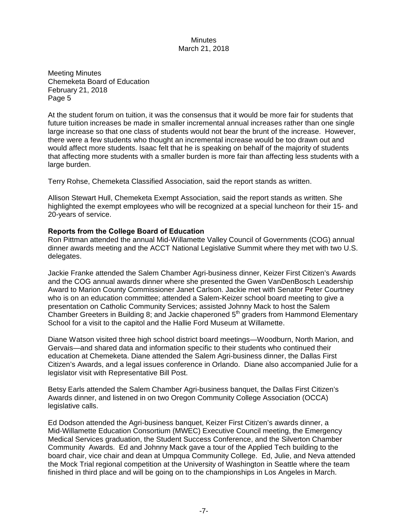Meeting Minutes Chemeketa Board of Education February 21, 2018 Page 5

At the student forum on tuition, it was the consensus that it would be more fair for students that future tuition increases be made in smaller incremental annual increases rather than one single large increase so that one class of students would not bear the brunt of the increase. However, there were a few students who thought an incremental increase would be too drawn out and would affect more students. Isaac felt that he is speaking on behalf of the majority of students that affecting more students with a smaller burden is more fair than affecting less students with a large burden.

Terry Rohse, Chemeketa Classified Association, said the report stands as written.

Allison Stewart Hull, Chemeketa Exempt Association, said the report stands as written. She highlighted the exempt employees who will be recognized at a special luncheon for their 15- and 20-years of service.

## **Reports from the College Board of Education**

Ron Pittman attended the annual Mid-Willamette Valley Council of Governments (COG) annual dinner awards meeting and the ACCT National Legislative Summit where they met with two U.S. delegates.

Jackie Franke attended the Salem Chamber Agri-business dinner, Keizer First Citizen's Awards and the COG annual awards dinner where she presented the Gwen VanDenBosch Leadership Award to Marion County Commissioner Janet Carlson. Jackie met with Senator Peter Courtney who is on an education committee; attended a Salem-Keizer school board meeting to give a presentation on Catholic Community Services; assisted Johnny Mack to host the Salem Chamber Greeters in Building 8; and Jackie chaperoned  $5<sup>th</sup>$  graders from Hammond Elementary School for a visit to the capitol and the Hallie Ford Museum at Willamette.

Diane Watson visited three high school district board meetings—Woodburn, North Marion, and Gervais—and shared data and information specific to their students who continued their education at Chemeketa. Diane attended the Salem Agri-business dinner, the Dallas First Citizen's Awards, and a legal issues conference in Orlando. Diane also accompanied Julie for a legislator visit with Representative Bill Post.

Betsy Earls attended the Salem Chamber Agri-business banquet, the Dallas First Citizen's Awards dinner, and listened in on two Oregon Community College Association (OCCA) legislative calls.

Ed Dodson attended the Agri-business banquet, Keizer First Citizen's awards dinner, a Mid-Willamette Education Consortium (MWEC) Executive Council meeting, the Emergency Medical Services graduation, the Student Success Conference, and the Silverton Chamber Community Awards. Ed and Johnny Mack gave a tour of the Applied Tech building to the board chair, vice chair and dean at Umpqua Community College. Ed, Julie, and Neva attended the Mock Trial regional competition at the University of Washington in Seattle where the team finished in third place and will be going on to the championships in Los Angeles in March.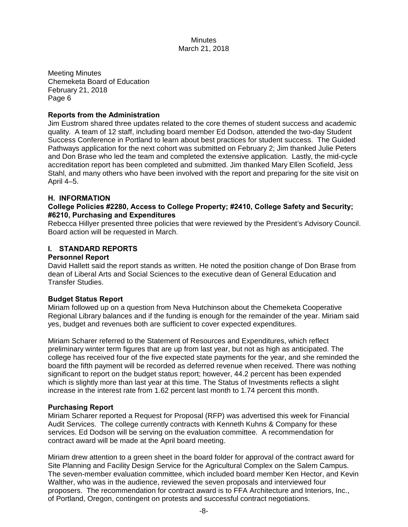Meeting Minutes Chemeketa Board of Education February 21, 2018 Page 6

# **Reports from the Administration**

Jim Eustrom shared three updates related to the core themes of student success and academic quality. A team of 12 staff, including board member Ed Dodson, attended the two-day Student Success Conference in Portland to learn about best practices for student success. The Guided Pathways application for the next cohort was submitted on February 2; Jim thanked Julie Peters and Don Brase who led the team and completed the extensive application. Lastly, the mid-cycle accreditation report has been completed and submitted. Jim thanked Mary Ellen Scofield, Jess Stahl, and many others who have been involved with the report and preparing for the site visit on April 4–5.

## **H. INFORMATION**

# **College Policies #2280, Access to College Property; #2410, College Safety and Security; #6210, Purchasing and Expenditures**

Rebecca Hillyer presented three policies that were reviewed by the President's Advisory Council. Board action will be requested in March.

# **I. STANDARD REPORTS**

## **Personnel Report**

David Hallett said the report stands as written. He noted the position change of Don Brase from dean of Liberal Arts and Social Sciences to the executive dean of General Education and Transfer Studies.

## **Budget Status Report**

Miriam followed up on a question from Neva Hutchinson about the Chemeketa Cooperative Regional Library balances and if the funding is enough for the remainder of the year. Miriam said yes, budget and revenues both are sufficient to cover expected expenditures.

Miriam Scharer referred to the Statement of Resources and Expenditures, which reflect preliminary winter term figures that are up from last year, but not as high as anticipated. The college has received four of the five expected state payments for the year, and she reminded the board the fifth payment will be recorded as deferred revenue when received. There was nothing significant to report on the budget status report; however, 44.2 percent has been expended which is slightly more than last year at this time. The Status of Investments reflects a slight increase in the interest rate from 1.62 percent last month to 1.74 percent this month.

## **Purchasing Report**

Miriam Scharer reported a Request for Proposal (RFP) was advertised this week for Financial Audit Services. The college currently contracts with Kenneth Kuhns & Company for these services. Ed Dodson will be serving on the evaluation committee. A recommendation for contract award will be made at the April board meeting.

Miriam drew attention to a green sheet in the board folder for approval of the contract award for Site Planning and Facility Design Service for the Agricultural Complex on the Salem Campus. The seven-member evaluation committee, which included board member Ken Hector, and Kevin Walther, who was in the audience, reviewed the seven proposals and interviewed four proposers. The recommendation for contract award is to FFA Architecture and Interiors, Inc., of Portland, Oregon, contingent on protests and successful contract negotiations.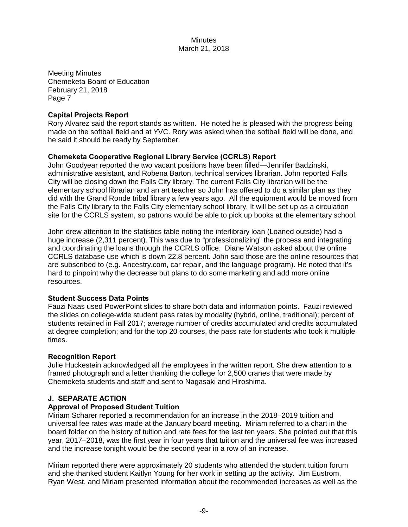Meeting Minutes Chemeketa Board of Education February 21, 2018 Page 7

# **Capital Projects Report**

Rory Alvarez said the report stands as written. He noted he is pleased with the progress being made on the softball field and at YVC. Rory was asked when the softball field will be done, and he said it should be ready by September.

# **Chemeketa Cooperative Regional Library Service (CCRLS) Report**

John Goodyear reported the two vacant positions have been filled—Jennifer Badzinski, administrative assistant, and Robena Barton, technical services librarian. John reported Falls City will be closing down the Falls City library. The current Falls City librarian will be the elementary school librarian and an art teacher so John has offered to do a similar plan as they did with the Grand Ronde tribal library a few years ago. All the equipment would be moved from the Falls City library to the Falls City elementary school library. It will be set up as a circulation site for the CCRLS system, so patrons would be able to pick up books at the elementary school.

John drew attention to the statistics table noting the interlibrary loan (Loaned outside) had a huge increase (2,311 percent). This was due to "professionalizing" the process and integrating and coordinating the loans through the CCRLS office. Diane Watson asked about the online CCRLS database use which is down 22.8 percent. John said those are the online resources that are subscribed to (e.g. Ancestry.com, car repair, and the language program). He noted that it's hard to pinpoint why the decrease but plans to do some marketing and add more online resources.

# **Student Success Data Points**

Fauzi Naas used PowerPoint slides to share both data and information points. Fauzi reviewed the slides on college-wide student pass rates by modality (hybrid, online, traditional); percent of students retained in Fall 2017; average number of credits accumulated and credits accumulated at degree completion; and for the top 20 courses, the pass rate for students who took it multiple times.

## **Recognition Report**

Julie Huckestein acknowledged all the employees in the written report. She drew attention to a framed photograph and a letter thanking the college for 2,500 cranes that were made by Chemeketa students and staff and sent to Nagasaki and Hiroshima.

# **J. SEPARATE ACTION**

## **Approval of Proposed Student Tuition**

Miriam Scharer reported a recommendation for an increase in the 2018–2019 tuition and universal fee rates was made at the January board meeting. Miriam referred to a chart in the board folder on the history of tuition and rate fees for the last ten years. She pointed out that this year, 2017–2018, was the first year in four years that tuition and the universal fee was increased and the increase tonight would be the second year in a row of an increase.

Miriam reported there were approximately 20 students who attended the student tuition forum and she thanked student Kaitlyn Young for her work in setting up the activity. Jim Eustrom, Ryan West, and Miriam presented information about the recommended increases as well as the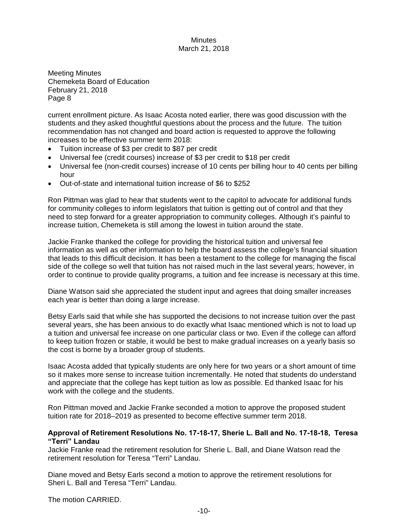Meeting Minutes Chemeketa Board of Education February 21, 2018 Page 8

current enrollment picture. As Isaac Acosta noted earlier, there was good discussion with the students and they asked thoughtful questions about the process and the future. The tuition recommendation has not changed and board action is requested to approve the following increases to be effective summer term 2018:

- Tuition increase of \$3 per credit to \$87 per credit
- Universal fee (credit courses) increase of \$3 per credit to \$18 per credit
- Universal fee (non-credit courses) increase of 10 cents per billing hour to 40 cents per billing hour
- Out-of-state and international tuition increase of \$6 to \$252

Ron Pittman was glad to hear that students went to the capitol to advocate for additional funds for community colleges to inform legislators that tuition is getting out of control and that they need to step forward for a greater appropriation to community colleges. Although it's painful to increase tuition, Chemeketa is still among the lowest in tuition around the state.

Jackie Franke thanked the college for providing the historical tuition and universal fee information as well as other information to help the board assess the college's financial situation that leads to this difficult decision. It has been a testament to the college for managing the fiscal side of the college so well that tuition has not raised much in the last several years; however, in order to continue to provide quality programs, a tuition and fee increase is necessary at this time.

Diane Watson said she appreciated the student input and agrees that doing smaller increases each year is better than doing a large increase.

Betsy Earls said that while she has supported the decisions to not increase tuition over the past several years, she has been anxious to do exactly what Isaac mentioned which is not to load up a tuition and universal fee increase on one particular class or two. Even if the college can afford to keep tuition frozen or stable, it would be best to make gradual increases on a yearly basis so the cost is borne by a broader group of students.

Isaac Acosta added that typically students are only here for two years or a short amount of time so it makes more sense to increase tuition incrementally. He noted that students do understand and appreciate that the college has kept tuition as low as possible. Ed thanked Isaac for his work with the college and the students.

Ron Pittman moved and Jackie Franke seconded a motion to approve the proposed student tuition rate for 2018–2019 as presented to become effective summer term 2018.

## **Approval of Retirement Resolutions No. 17-18-17, Sherie L. Ball and No. 17-18-18, Teresa "Terri" Landau**

Jackie Franke read the retirement resolution for Sherie L. Ball, and Diane Watson read the retirement resolution for Teresa "Terri" Landau.

Diane moved and Betsy Earls second a motion to approve the retirement resolutions for Sheri L. Ball and Teresa "Terri" Landau.

The motion CARRIED.